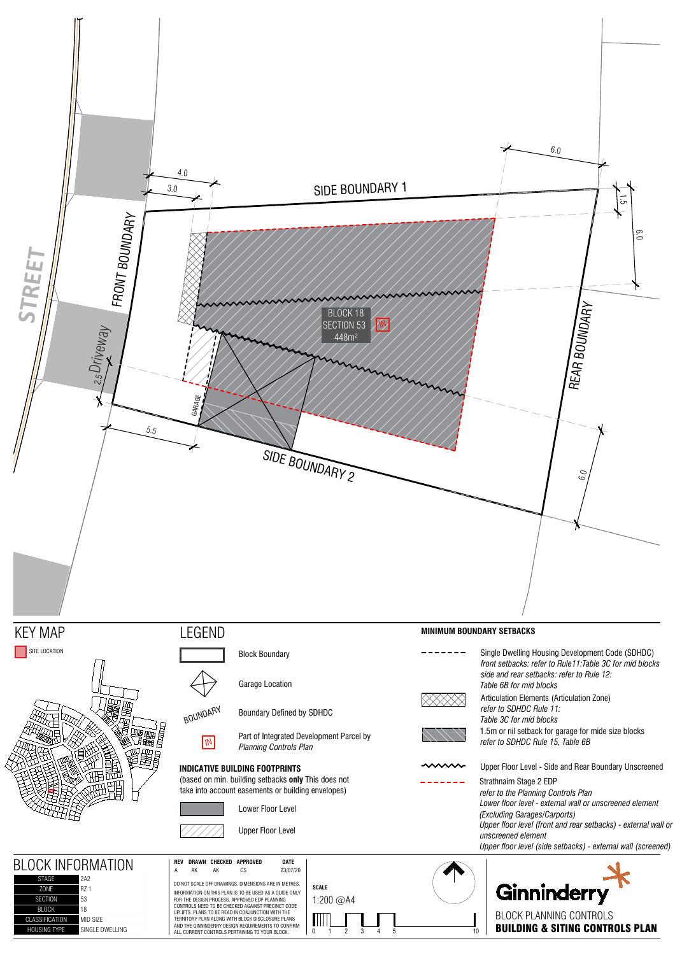